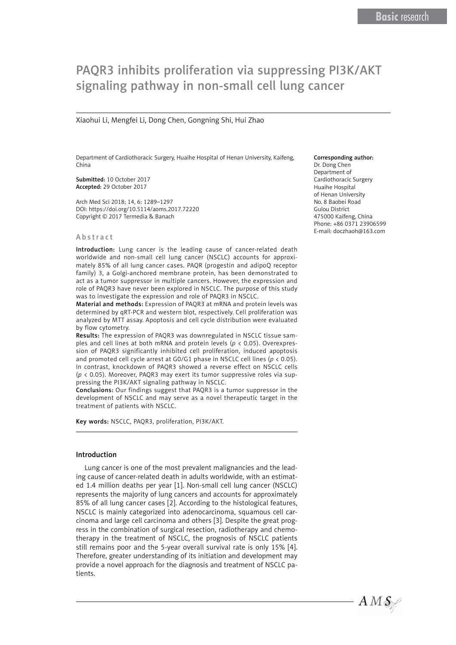# PAQR3 inhibits proliferation via suppressing PI3K/AKT signaling pathway in non-small cell lung cancer

## Xiaohui Li, Mengfei Li, Dong Chen, Gongning Shi, Hui Zhao

Department of Cardiothoracic Surgery, Huaihe Hospital of Henan University, Kaifeng, China

Submitted: 10 October 2017 Accepted: 29 October 2017

Arch Med Sci 2018; 14, 6: 1289–1297 DOI: https://doi.org/10.5114/aoms.2017.72220 Copyright © 2017 Termedia & Banach

#### Abstract

Introduction: Lung cancer is the leading cause of cancer-related death worldwide and non-small cell lung cancer (NSCLC) accounts for approximately 85% of all lung cancer cases. PAQR (progestin and adipoQ receptor family) 3, a Golgi-anchored membrane protein, has been demonstrated to act as a tumor suppressor in multiple cancers. However, the expression and role of PAQR3 have never been explored in NSCLC. The purpose of this study was to investigate the expression and role of PAQR3 in NSCLC.

Material and methods: Expression of PAQR3 at mRNA and protein levels was determined by qRT-PCR and western blot, respectively. Cell proliferation was analyzed by MTT assay. Apoptosis and cell cycle distribution were evaluated by flow cytometry.

Results: The expression of PAQR3 was downregulated in NSCLC tissue samples and cell lines at both mRNA and protein levels (*p* < 0.05). Overexpression of PAQR3 significantly inhibited cell proliferation, induced apoptosis and promoted cell cycle arrest at G0/G1 phase in NSCLC cell lines (*p* < 0.05). In contrast, knockdown of PAQR3 showed a reverse effect on NSCLC cells (*p* < 0.05). Moreover, PAQR3 may exert its tumor suppressive roles via suppressing the PI3K/AKT signaling pathway in NSCLC.

Conclusions: Our findings suggest that PAQR3 is a tumor suppressor in the development of NSCLC and may serve as a novel therapeutic target in the treatment of patients with NSCLC.

Key words: NSCLC, PAQR3, proliferation, PI3K/AKT.

#### Introduction

Lung cancer is one of the most prevalent malignancies and the leading cause of cancer-related death in adults worldwide, with an estimated 1.4 million deaths per year [1]. Non-small cell lung cancer (NSCLC) represents the majority of lung cancers and accounts for approximately 85% of all lung cancer cases [2]. According to the histological features, NSCLC is mainly categorized into adenocarcinoma, squamous cell carcinoma and large cell carcinoma and others [3]. Despite the great progress in the combination of surgical resection, radiotherapy and chemotherapy in the treatment of NSCLC, the prognosis of NSCLC patients still remains poor and the 5-year overall survival rate is only 15% [4]. Therefore, greater understanding of its initiation and development may provide a novel approach for the diagnosis and treatment of NSCLC patients.

#### Corresponding author:

Dr. Dong Chen Department of Cardiothoracic Surgery Huaihe Hospital of Henan University No. 8 Baobei Road Gulou District 475000 Kaifeng, China Phone: +86 0371 23906599 E-mail: doczhaoh@163.com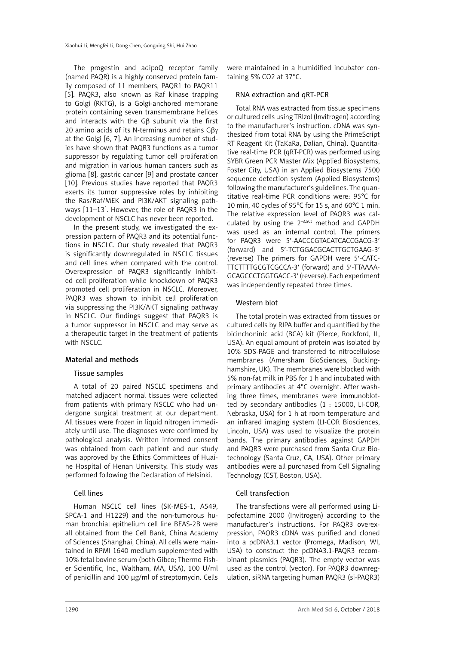The progestin and adipoQ receptor family (named PAQR) is a highly conserved protein family composed of 11 members, PAQR1 to PAQR11 [5]. PAQR3, also known as Raf kinase trapping to Golgi (RKTG), is a Golgi-anchored membrane protein containing seven transmembrane helices and interacts with the Gβ subunit via the first 20 amino acids of its N-terminus and retains Gβγ at the Golgi [6, 7]. An increasing number of studies have shown that PAQR3 functions as a tumor suppressor by regulating tumor cell proliferation and migration in various human cancers such as glioma [8], gastric cancer [9] and prostate cancer [10]. Previous studies have reported that PAQR3 exerts its tumor suppressive roles by inhibiting the Ras/Raf/MEK and PI3K/AKT signaling pathways [11–13]. However, the role of PAQR3 in the development of NSCLC has never been reported.

In the present study, we investigated the expression pattern of PAQR3 and its potential functions in NSCLC. Our study revealed that PAQR3 is significantly downregulated in NSCLC tissues and cell lines when compared with the control. Overexpression of PAQR3 significantly inhibited cell proliferation while knockdown of PAQR3 promoted cell proliferation in NSCLC. Moreover, PAQR3 was shown to inhibit cell proliferation via suppressing the PI3K/AKT signaling pathway in NSCLC. Our findings suggest that PAQR3 is a tumor suppressor in NSCLC and may serve as a therapeutic target in the treatment of patients with NSCLC.

# Material and methods

# Tissue samples

A total of 20 paired NSCLC specimens and matched adjacent normal tissues were collected from patients with primary NSCLC who had undergone surgical treatment at our department. All tissues were frozen in liquid nitrogen immediately until use. The diagnoses were confirmed by pathological analysis. Written informed consent was obtained from each patient and our study was approved by the Ethics Committees of Huaihe Hospital of Henan University. This study was performed following the Declaration of Helsinki.

# Cell lines

Human NSCLC cell lines (SK-MES-1, A549, SPCA-1 and H1229) and the non-tumorous human bronchial epithelium cell line BEAS-2B were all obtained from the Cell Bank, China Academy of Sciences (Shanghai, China). All cells were maintained in RPMI 1640 medium supplemented with 10% fetal bovine serum (both Gibco; Thermo Fisher Scientific, Inc., Waltham, MA, USA), 100 U/ml of penicillin and 100 μg/ml of streptomycin. Cells

were maintained in a humidified incubator containing 5% CO2 at 37°C.

# RNA extraction and qRT-PCR

Total RNA was extracted from tissue specimens or cultured cells using TRIzol (Invitrogen) according to the manufacturer's instruction. cDNA was synthesized from total RNA by using the PrimeScript RT Reagent Kit (TaKaRa, Dalian, China). Quantitative real-time PCR (qRT-PCR) was performed using SYBR Green PCR Master Mix (Applied Biosystems, Foster City, USA) in an Applied Biosystems 7500 sequence detection system (Applied Biosystems) following the manufacturer's guidelines. The quantitative real-time PCR conditions were: 95°C for 10 min, 40 cycles of 95°C for 15 s, and 60°C 1 min. The relative expression level of PAQR3 was calculated by using the 2–ΔΔCt method and GAPDH was used as an internal control. The primers for PAQR3 were 5′-AACCCGTACATCACCGACG-3′ (forward) and 5′-TCTGGACGCACTTGCTGAAG-3′ (reverse) The primers for GAPDH were 5′-CATC-TTCTTTTGCGTCGCCA-3′ (forward) and 5′-TTAAAA-GCAGCCCTGGTGACC-3′ (reverse). Each experiment was independently repeated three times.

# Western blot

The total protein was extracted from tissues or cultured cells by RIPA buffer and quantified by the bicinchoninic acid (BCA) kit (Pierce, Rockford, IL, USA). An equal amount of protein was isolated by 10% SDS-PAGE and transferred to nitrocellulose membranes (Amersham BioSciences, Buckinghamshire, UK). The membranes were blocked with 5% non-fat milk in PBS for 1 h and incubated with primary antibodies at 4°C overnight. After washing three times, membranes were immunoblotted by secondary antibodies (1 : 15000, LI-COR, Nebraska, USA) for 1 h at room temperature and an infrared imaging system (LI-COR Biosciences, Lincoln, USA) was used to visualize the protein bands. The primary antibodies against GAPDH and PAQR3 were purchased from Santa Cruz Biotechnology (Santa Cruz, CA, USA). Other primary antibodies were all purchased from Cell Signaling Technology (CST, Boston, USA).

# Cell transfection

The transfections were all performed using Lipofectamine 2000 (Invitrogen) according to the manufacturer's instructions. For PAQR3 overexpression, PAQR3 cDNA was purified and cloned into a pcDNA3.1 vector (Promega, Madison, WI, USA) to construct the pcDNA3.1-PAQR3 recombinant plasmids (PAQR3). The empty vector was used as the control (vector). For PAQR3 downregulation, siRNA targeting human PAQR3 (si-PAQR3)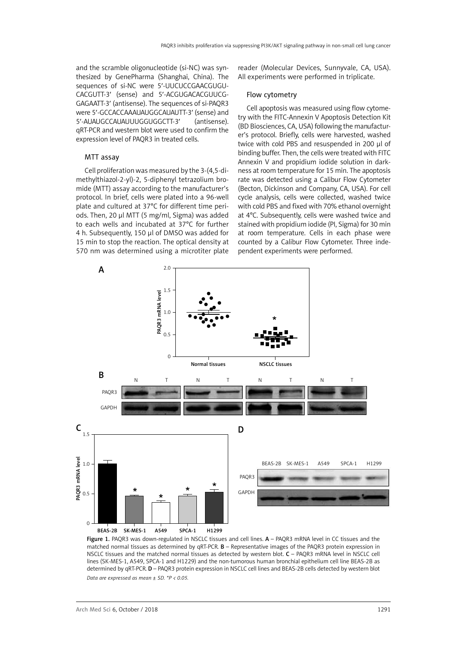and the scramble oligonucleotide (si-NC) was synthesized by GenePharma (Shanghai, China). The sequences of si-NC were 5′-UUCUCCGAACGUGU-CACGUTT-3′ (sense) and 5′-ACGUGACACGUUCG-GAGAATT-3′ (antisense). The sequences of si-PAQR3 were 5′-GCCACCAAAUAUGGCAUAUTT-3′ (sense) and 5′-AUAUGCCAUAUUUGGUGGCTT-3′ (antisense). qRT-PCR and western blot were used to confirm the expression level of PAQR3 in treated cells.

#### MTT assay

Cell proliferation was measured by the 3-(4,5-dimethylthiazol-2-yl)-2, 5-diphenyl tetrazolium bromide (MTT) assay according to the manufacturer's protocol. In brief, cells were plated into a 96-well plate and cultured at 37°C for different time periods. Then, 20 µl MTT (5 mg/ml, Sigma) was added to each wells and incubated at 37°C for further 4 h. Subsequently, 150 µl of DMSO was added for 15 min to stop the reaction. The optical density at 570 nm was determined using a microtiter plate reader (Molecular Devices, Sunnyvale, CA, USA). All experiments were performed in triplicate.

#### Flow cytometry

Cell apoptosis was measured using flow cytometry with the FITC-Annexin V Apoptosis Detection Kit (BD Biosciences, CA, USA) following the manufacturer's protocol. Briefly, cells were harvested, washed twice with cold PBS and resuspended in 200 μl of binding buffer. Then, the cells were treated with FITC Annexin V and propidium iodide solution in darkness at room temperature for 15 min. The apoptosis rate was detected using a Calibur Flow Cytometer (Becton, Dickinson and Company, CA, USA). For cell cycle analysis, cells were collected, washed twice with cold PBS and fixed with 70% ethanol overnight at 4°C. Subsequently, cells were washed twice and stained with propidium iodide (PI, Sigma) for 30 min at room temperature. Cells in each phase were counted by a Calibur Flow Cytometer. Three independent experiments were performed.



Figure 1. PAQR3 was down-regulated in NSCLC tissues and cell lines. A - PAQR3 mRNA level in CC tissues and the matched normal tissues as determined by qRT-PCR. B – Representative images of the PAQR3 protein expression in NSCLC tissues and the matched normal tissues as detected by western blot. C – PAQR3 mRNA level in NSCLC cell lines (SK-MES-1, A549, SPCA-1 and H1229) and the non-tumorous human bronchial epithelium cell line BEAS-2B as determined by qRT-PCR. D – PAQR3 protein expression in NSCLC cell lines and BEAS-2B cells detected by western blot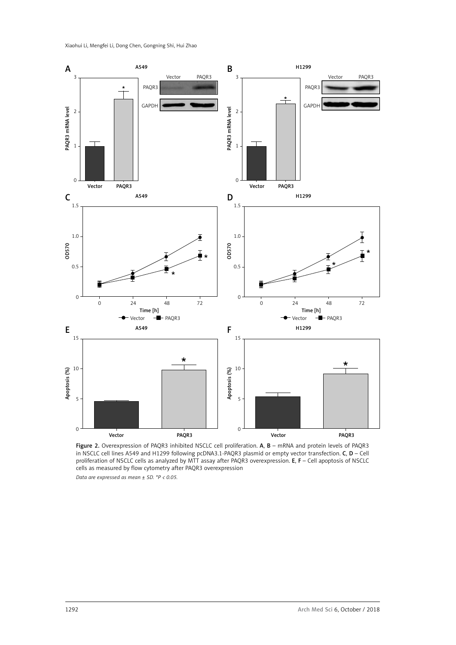

Figure 2. Overexpression of PAQR3 inhibited NSCLC cell proliferation. A, B - mRNA and protein levels of PAQR3 in NSCLC cell lines A549 and H1299 following pcDNA3.1-PAQR3 plasmid or empty vector transfection. C, D – Cell proliferation of NSCLC cells as analyzed by MTT assay after PAQR3 overexpression. E, F – Cell apoptosis of NSCLC cells as measured by flow cytometry after PAQR3 overexpression *Data are expressed as mean ± SD. \*P < 0.05.*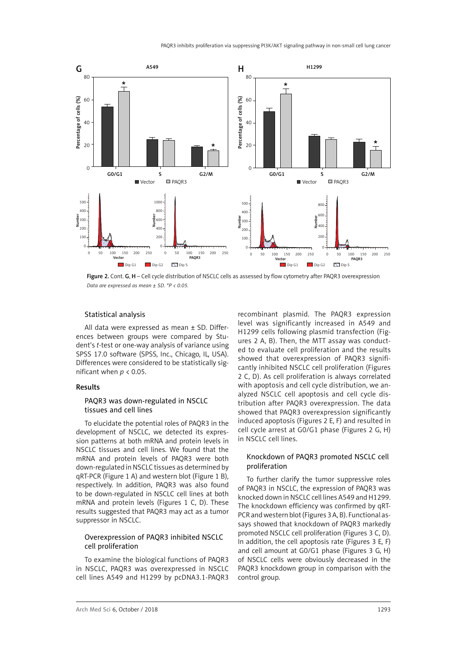

Figure 2. Cont. G, H - Cell cycle distribution of NSCLC cells as assessed by flow cytometry after PAQR3 overexpression *Data are expressed as mean ± SD. \*P < 0.05.*

## Statistical analysis

All data were expressed as mean ± SD. Differences between groups were compared by Student's *t*-test or one-way analysis of variance using SPSS 17.0 software (SPSS, Inc., Chicago, IL, USA). Differences were considered to be statistically significant when *p* < 0.05.

#### Results

## PAQR3 was down-regulated in NSCLC tissues and cell lines

To elucidate the potential roles of PAQR3 in the development of NSCLC, we detected its expression patterns at both mRNA and protein levels in NSCLC tissues and cell lines. We found that the mRNA and protein levels of PAQR3 were both down-regulated in NSCLC tissues as determined by qRT-PCR (Figure 1 A) and western blot (Figure 1 B), respectively. In addition, PAQR3 was also found to be down-regulated in NSCLC cell lines at both mRNA and protein levels (Figures 1 C, D). These results suggested that PAQR3 may act as a tumor suppressor in NSCLC.

# Overexpression of PAQR3 inhibited NSCLC cell proliferation

To examine the biological functions of PAQR3 in NSCLC, PAQR3 was overexpressed in NSCLC cell lines A549 and H1299 by pcDNA3.1-PAQR3

recombinant plasmid. The PAQR3 expression level was significantly increased in A549 and H1299 cells following plasmid transfection (Figures 2 A, B). Then, the MTT assay was conducted to evaluate cell proliferation and the results showed that overexpression of PAQR3 significantly inhibited NSCLC cell proliferation (Figures 2 C, D). As cell proliferation is always correlated with apoptosis and cell cycle distribution, we analyzed NSCLC cell apoptosis and cell cycle distribution after PAQR3 overexpression. The data showed that PAQR3 overexpression significantly induced apoptosis (Figures 2 E, F) and resulted in cell cycle arrest at G0/G1 phase (Figures 2 G, H) in NSCLC cell lines.

# Knockdown of PAQR3 promoted NSCLC cell proliferation

To further clarify the tumor suppressive roles of PAQR3 in NSCLC, the expression of PAQR3 was knocked down in NSCLC cell lines A549 and H1299. The knockdown efficiency was confirmed by qRT-PCR and western blot (Figures 3 A, B). Functional assays showed that knockdown of PAQR3 markedly promoted NSCLC cell proliferation (Figures 3 C, D). In addition, the cell apoptosis rate (Figures 3 E, F) and cell amount at G0/G1 phase (Figures 3 G, H) of NSCLC cells were obviously decreased in the PAQR3 knockdown group in comparison with the control group.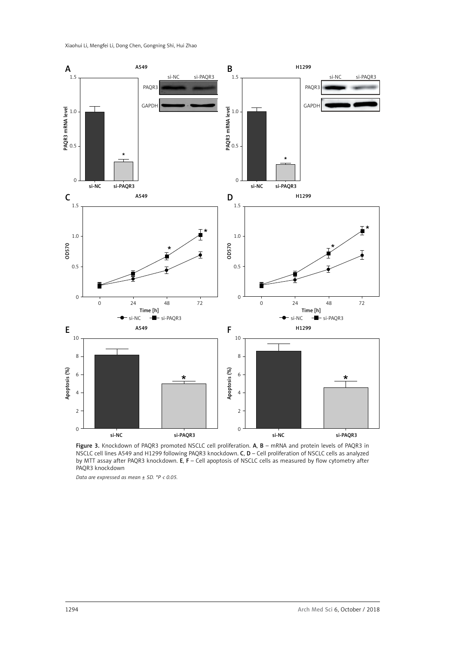

Figure 3. Knockdown of PAQR3 promoted NSCLC cell proliferation. A, B - mRNA and protein levels of PAQR3 in NSCLC cell lines A549 and H1299 following PAQR3 knockdown. C, D – Cell proliferation of NSCLC cells as analyzed by MTT assay after PAQR3 knockdown. E, F - Cell apoptosis of NSCLC cells as measured by flow cytometry after PAQR3 knockdown

*Data are expressed as mean ± SD. \*P < 0.05.*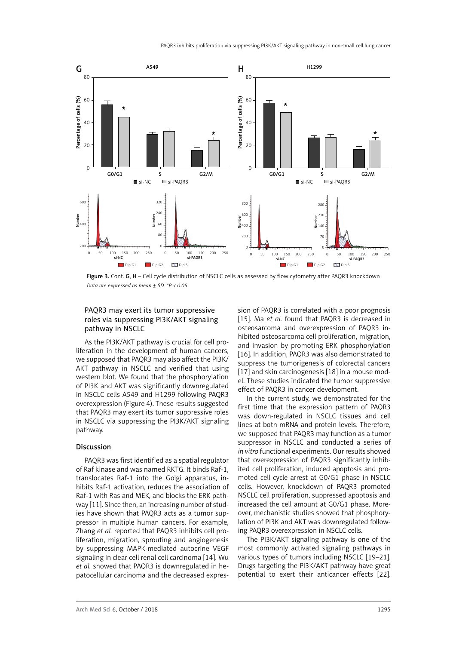

Figure 3. Cont. G, H - Cell cycle distribution of NSCLC cells as assessed by flow cytometry after PAQR3 knockdown *Data are expressed as mean ± SD. \*P < 0.05.*

# PAQR3 may exert its tumor suppressive roles via suppressing PI3K/AKT signaling pathway in NSCLC

As the PI3K/AKT pathway is crucial for cell proliferation in the development of human cancers, we supposed that PAQR3 may also affect the PI3K/ AKT pathway in NSCLC and verified that using western blot. We found that the phosphorylation of PI3K and AKT was significantly downregulated in NSCLC cells A549 and H1299 following PAQR3 overexpression (Figure 4). These results suggested that PAQR3 may exert its tumor suppressive roles in NSCLC via suppressing the PI3K/AKT signaling pathway.

## Discussion

PAQR3 was first identified as a spatial regulator of Raf kinase and was named RKTG. It binds Raf-1, translocates Raf-1 into the Golgi apparatus, inhibits Raf-1 activation, reduces the association of Raf-1 with Ras and MEK, and blocks the ERK pathway [11]. Since then, an increasing number of studies have shown that PAQR3 acts as a tumor suppressor in multiple human cancers. For example, Zhang *et al.* reported that PAQR3 inhibits cell proliferation, migration, sprouting and angiogenesis by suppressing MAPK-mediated autocrine VEGF signaling in clear cell renal cell carcinoma [14]. Wu *et al.* showed that PAQR3 is downregulated in hepatocellular carcinoma and the decreased expression of PAQR3 is correlated with a poor prognosis [15]. Ma *et al.* found that PAQR3 is decreased in osteosarcoma and overexpression of PAQR3 inhibited osteosarcoma cell proliferation, migration, and invasion by promoting ERK phosphorylation [16]. In addition, PAQR3 was also demonstrated to suppress the tumorigenesis of colorectal cancers [17] and skin carcinogenesis [18] in a mouse model. These studies indicated the tumor suppressive effect of PAQR3 in cancer development.

In the current study, we demonstrated for the first time that the expression pattern of PAQR3 was down-regulated in NSCLC tissues and cell lines at both mRNA and protein levels. Therefore, we supposed that PAQR3 may function as a tumor suppressor in NSCLC and conducted a series of *in vitro* functional experiments. Our results showed that overexpression of PAQR3 significantly inhibited cell proliferation, induced apoptosis and promoted cell cycle arrest at G0/G1 phase in NSCLC cells. However, knockdown of PAQR3 promoted NSCLC cell proliferation, suppressed apoptosis and increased the cell amount at G0/G1 phase. Moreover, mechanistic studies showed that phosphorylation of PI3K and AKT was downregulated following PAQR3 overexpression in NSCLC cells.

The PI3K/AKT signaling pathway is one of the most commonly activated signaling pathways in various types of tumors including NSCLC [19–21]. Drugs targeting the PI3K/AKT pathway have great potential to exert their anticancer effects [22].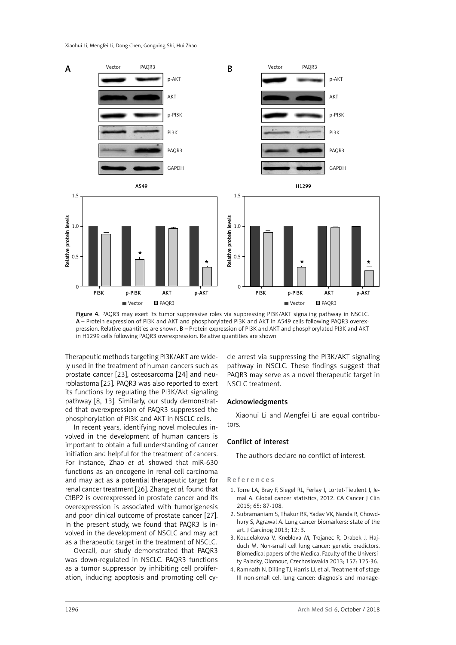

Figure 4. PAQR3 may exert its tumor suppressive roles via suppressing PI3K/AKT signaling pathway in NSCLC. A – Protein expression of PI3K and AKT and phosphorylated PI3K and AKT in A549 cells following PAQR3 overexpression. Relative quantities are shown. B – Protein expression of PI3K and AKT and phosphorylated PI3K and AKT in H1299 cells following PAQR3 overexpression. Relative quantities are shown

Therapeutic methods targeting PI3K/AKT are widely used in the treatment of human cancers such as prostate cancer [23], osteosarcoma [24] and neuroblastoma [25]. PAQR3 was also reported to exert its functions by regulating the PI3K/Akt signaling pathway [8, 13]. Similarly, our study demonstrated that overexpression of PAQR3 suppressed the phosphorylation of PI3K and AKT in NSCLC cells.

In recent years, identifying novel molecules involved in the development of human cancers is important to obtain a full understanding of cancer initiation and helpful for the treatment of cancers. For instance, Zhao *et al.* showed that miR-630 functions as an oncogene in renal cell carcinoma and may act as a potential therapeutic target for renal cancer treatment [26]. Zhang *et al.* found that CtBP2 is overexpressed in prostate cancer and its overexpression is associated with tumorigenesis and poor clinical outcome of prostate cancer [27]. In the present study, we found that PAQR3 is involved in the development of NSCLC and may act as a therapeutic target in the treatment of NSCLC.

Overall, our study demonstrated that PAQR3 was down-regulated in NSCLC. PAQR3 functions as a tumor suppressor by inhibiting cell proliferation, inducing apoptosis and promoting cell cy-

cle arrest via suppressing the PI3K/AKT signaling pathway in NSCLC. These findings suggest that PAQR3 may serve as a novel therapeutic target in NSCLC treatment.

#### Acknowledgments

Xiaohui Li and Mengfei Li are equal contributors.

## Conflict of interest

The authors declare no conflict of interest.

References

- 1. Torre LA, Bray F, Siegel RL, Ferlay J, Lortet-Tieulent J, Jemal A. Global cancer statistics, 2012. CA Cancer J Clin 2015; 65: 87-108.
- 2. Subramaniam S, Thakur RK, Yadav VK, Nanda R, Chowdhury S, Agrawal A. Lung cancer biomarkers: state of the art. J Carcinog 2013; 12: 3.
- 3. Koudelakova V, Kneblova M, Trojanec R, Drabek J, Hajduch M. Non-small cell lung cancer: genetic predictors. Biomedical papers of the Medical Faculty of the University Palacky, Olomouc, Czechoslovakia 2013; 157: 125-36.
- 4. Ramnath N, Dilling TJ, Harris LJ, et al. Treatment of stage III non-small cell lung cancer: diagnosis and manage-